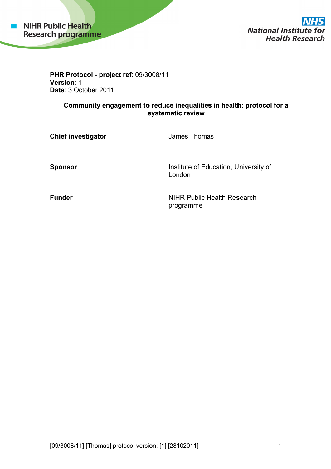

**National Institute for Health Research** 

**PHR Protocol - project ref**: 09/3008/11 **Ver rsion**: 1 **Dat te**: 3 Octob ber 2011

# **Community engagement to reduce inequalities in health: protocol for a systematic review**

**Chief investigator Spo onsor**  James Thomas

Institute of Education, University of Lon don

**Funder** 

NIHR Public Health Research prog gramme

[09/3008/11] [Thomas] protocol version: [1] [28102011]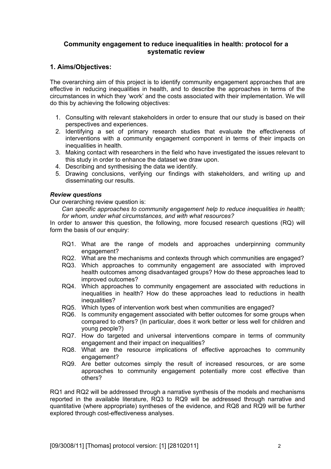## **Community engagement to reduce inequalities in health: protocol for a systematic review**

# **1. Aims/Objectives:**

The overarching aim of this project is to identify community engagement approaches that are effective in reducing inequalities in health, and to describe the approaches in terms of the circumstances in which they 'work' and the costs associated with their implementation. We will do this by achieving the following objectives:

- 1. Consulting with relevant stakeholders in order to ensure that our study is based on their perspectives and experiences.
- 2. Identifying a set of primary research studies that evaluate the effectiveness of interventions with a community engagement component in terms of their impacts on inequalities in health.
- 3. Making contact with researchers in the field who have investigated the issues relevant to this study in order to enhance the dataset we draw upon.
- 4. Describing and synthesising the data we identify.
- 5. Drawing conclusions, verifying our findings with stakeholders, and writing up and disseminating our results.

## *Review questions*

Our overarching review question is:

*Can specific approaches to community engagement help to reduce inequalities in health; for whom, under what circumstances, and with what resources?* 

In order to answer this question, the following, more focused research questions (RQ) will form the basis of our enquiry:

- RQ1. What are the range of models and approaches underpinning community engagement?
- RQ2. What are the mechanisms and contexts through which communities are engaged?
- RQ3. Which approaches to community engagement are associated with improved health outcomes among disadvantaged groups? How do these approaches lead to improved outcomes?
- RQ4. Which approaches to community engagement are associated with reductions in inequalities in health? How do these approaches lead to reductions in health inequalities?
- RQ5. Which types of intervention work best when communities are engaged?
- RQ6. Is community engagement associated with better outcomes for some groups when compared to others? (In particular, does it work better or less well for children and young people?)
- RQ7. How do targeted and universal interventions compare in terms of community engagement and their impact on inequalities?
- RQ8. What are the resource implications of effective approaches to community engagement?
- RQ9. Are better outcomes simply the result of increased resources, or are some approaches to community engagement potentially more cost effective than others?

RQ1 and RQ2 will be addressed through a narrative synthesis of the models and mechanisms reported in the available literature, RQ3 to RQ9 will be addressed through narrative and quantitative (where appropriate) syntheses of the evidence, and RQ8 and RQ9 will be further explored through cost-effectiveness analyses.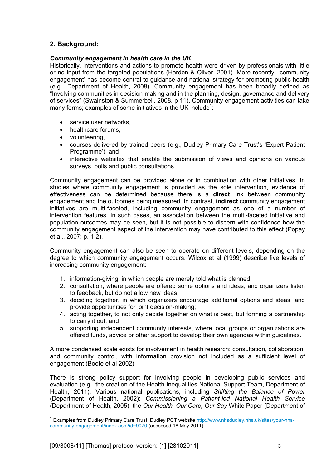# **2. Background:**

## *Community engagement in health care in the UK*

Historically, interventions and actions to promote health were driven by professionals with little or no input from the targeted populations (Harden & Oliver, 2001). More recently, 'community engagement' has become central to guidance and national strategy for promoting public health (e.g., Department of Health, 2008). Community engagement has been broadly defined as "Involving communities in decision-making and in the planning, design, governance and delivery of services" (Swainston & Summerbell, 2008, p 11). Community engagement activities can take many forms; examples of some initiatives in the UK include<sup>1</sup>:

- service user networks,
- healthcare forums.
- volunteering,
- courses delivered by trained peers (e.g., Dudley Primary Care Trust's 'Expert Patient Programme'), and
- interactive websites that enable the submission of views and opinions on various surveys, polls and public consultations.

Community engagement can be provided alone or in combination with other initiatives. In studies where community engagement is provided as the sole intervention, evidence of effectiveness can be determined because there is a **direct** link between community engagement and the outcomes being measured. In contrast, **indirect** community engagement initiatives are multi-faceted, including community engagement as one of a number of intervention features. In such cases, an association between the multi-faceted initiative and population outcomes may be seen, but it is not possible to discern with confidence how the community engagement aspect of the intervention may have contributed to this effect (Popay et al., 2007: p. 1-2).

Community engagement can also be seen to operate on different levels, depending on the degree to which community engagement occurs. Wilcox et al (1999) describe five levels of increasing community engagement:

- 1. information-giving, in which people are merely told what is planned;
- 2. consultation, where people are offered some options and ideas, and organizers listen to feedback, but do not allow new ideas;
- 3. deciding together, in which organizers encourage additional options and ideas, and provide opportunities for joint decision-making;
- 4. acting together, to not only decide together on what is best, but forming a partnership to carry it out; and
- 5. supporting independent community interests, where local groups or organizations are offered funds, advice or other support to develop their own agendas within guidelines.

A more condensed scale exists for involvement in health research: consultation, collaboration, and community control, with information provision not included as a sufficient level of engagement (Boote et al 2002).

There is strong policy support for involving people in developing public services and evaluation (e.g., the creation of the Health Inequalities National Support Team, Department of Health, 2011). Various national publications, including *Shifting the Balance of Power* (Department of Health, 2002); *Commissioning a Patient-led National Health Service* (Department of Health, 2005); the *Our Health, Our Care, Our Say* White Paper (Department of

 1 Examples from Dudley Primary Care Trust. Dudley PCT website http://www.nhsdudley.nhs.uk/sites/your-nhscommunity-engagement/index.asp?id=9070 (accessed 18 May 2011).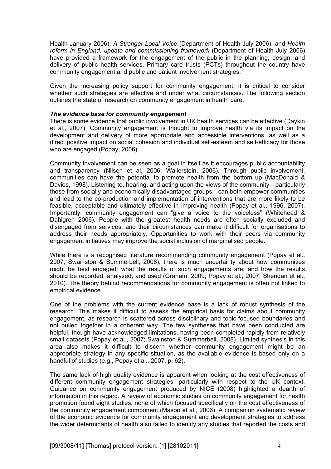Health January 2006); *A Stronger Local Voice* (Department of Health July 2006); and *Health reform in England: update and commissioning framework* (Department of Health July 2006) have provided a framework for the engagement of the public in the planning, design, and delivery of public health services. Primary care trusts (PCTs) throughout the country have community engagement and public and patient involvement strategies.

Given the increasing policy support for community engagement, it is critical to consider whether such strategies are effective and under what circumstances. The following section outlines the state of research on community engagement in health care.

### *The evidence base for community engagement*

There is some evidence that public involvement in UK health services can be effective (Daykin et al., 2007). Community engagement is thought to improve health via its impact on the development and delivery of more appropriate and accessible interventions, as well as a direct positive impact on social cohesion and individual self-esteem and self-efficacy for those who are engaged (Popay, 2006).

Community involvement can be seen as a goal in itself as it encourages public accountability and transparency (Nilsen et al, 2006; Wallerstein, 2006). Through public involvement, communities can have the potential to promote health from the bottom up (MacDonald & Davies, 1998). Listening to, hearing, and acting upon the views of the community—particularly those from socially and economically disadvantaged groups—can both empower communities and lead to the co-production and implementation of interventions that are more likely to be feasible, acceptable and ultimately effective in improving health (Popay et al., 1996, 2007). Importantly, community engagement can "give a voice to the voiceless" (Whitehead & Dahlgren 2006). People with the greatest health needs are often socially excluded and disengaged from services, and their circumstances can make it difficult for organisations to address their needs appropriately. Opportunities to work with their peers via community engagement initiatives may improve the social inclusion of marginalised people.

While there is a recognised literature recommending community engagement (Popay et al., 2007; Swainston & Summerbell, 2008), there is much uncertainty about how communities might be best engaged; what the results of such engagements are; and how the results should be recorded, analysed, and used (Graham, 2009; Popay et al., 2007; Sheridan et al., 2010). The theory behind recommendations for community engagement is often not linked to empirical evidence.

One of the problems with the current evidence base is a lack of robust synthesis of the research. This makes it difficult to assess the empirical basis for claims about community engagement, as research is scattered across disciplinary and topic-focused boundaries and not pulled together in a coherent way. The few syntheses that have been conducted are helpful, though have acknowledged limitations, having been completed rapidly from relatively small datasets (Popay et al., 2007; Swainston & Summerbell, 2008). Limited synthesis in this area also makes it difficult to discern whether community engagement might be an appropriate strategy in any specific situation, as the available evidence is based only on a handful of studies (e.g., Popay et al., 2007, p. 62).

The same lack of high quality evidence is apparent when looking at the cost effectiveness of different community engagement strategies, particularly with respect to the UK context. Guidance on community engagement produced by NICE (2008) highlighted a dearth of information in this regard. A review of economic studies on community engagement for health promotion found eight studies, none of which focused specifically on the cost effectiveness of the community engagement component (Mason et al., 2006). A companion systematic review of the economic evidence for community engagement and development strategies to address the wider determinants of health also failed to identify any studies that reported the costs and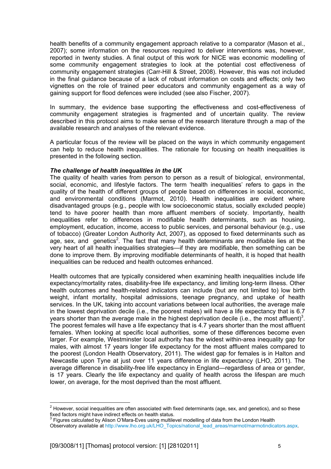health benefits of a community engagement approach relative to a comparator (Mason et al., 2007); some information on the resources required to deliver interventions was, however, reported in twenty studies. A final output of this work for NICE was economic modelling of some community engagement strategies to look at the potential cost effectiveness of community engagement strategies (Carr-Hill & Street, 2008). However, this was not included in the final guidance because of a lack of robust information on costs and effects; only two vignettes on the role of trained peer educators and community engagement as a way of gaining support for flood defences were included (see also Fischer, 2007).

In summary, the evidence base supporting the effectiveness and cost-effectiveness of community engagement strategies is fragmented and of uncertain quality. The review described in this protocol aims to make sense of the research literature through a map of the available research and analyses of the relevant evidence.

A particular focus of the review will be placed on the ways in which community engagement can help to reduce health inequalities. The rationale for focusing on health inequalities is presented in the following section.

## *The challenge of health inequalities in the UK*

The quality of health varies from person to person as a result of biological, environmental, social, economic, and lifestyle factors. The term 'health inequalities' refers to gaps in the quality of the health of different groups of people based on differences in social, economic, and environmental conditions (Marmot, 2010). Health inequalities are evident where disadvantaged groups (e.g., people with low socioeconomic status, socially excluded people) tend to have poorer health than more affluent members of society. Importantly, health inequalities refer to differences in modifiable health determinants, such as housing, employment, education, income, access to public services, and personal behaviour (e.g., use of tobacco) (Greater London Authority Act, 2007), as opposed to fixed determinants such as age, sex, and genetics<sup>2</sup>. The fact that many health determinants are modifiable lies at the very heart of all health inequalities strategies—if they are modifiable, then something can be done to improve them. By improving modifiable determinants of health, it is hoped that health inequalities can be reduced and health outcomes enhanced.

Health outcomes that are typically considered when examining health inequalities include life expectancy/mortality rates, disability-free life expectancy, and limiting long-term illness. Other health outcomes and health-related indicators can include (but are not limited to) low birth weight, infant mortality, hospital admissions, teenage pregnancy, and uptake of health services. In the UK, taking into account variations between local authorities, the average male in the lowest deprivation decile (i.e., the poorest males) will have a life expectancy that is 6.7 years shorter than the average male in the highest deprivation decile (i.e., the most affluent)<sup>3</sup>. The poorest females will have a life expectancy that is 4.7 years shorter than the most affluent females. When looking at specific local authorities, some of these differences become even larger. For example, Westminster local authority has the widest within-area inequality gap for males, with almost 17 years longer life expectancy for the most affluent males compared to the poorest (London Health Observatory, 2011). The widest gap for females is in Halton and Newcastle upon Tyne at just over 11 years difference in life expectancy (LHO, 2011). The average difference in disability-free life expectancy in England—regardless of area or gender, is 17 years. Clearly the life expectancy and quality of health across the lifespan are much lower, on average, for the most deprived than the most affluent.

 2 However, social inequalities are often associated with fixed determinants (age, sex, and genetics), and so these fixed factors might have indirect effects on health status.

<sup>&</sup>lt;sup>3</sup> Figures calculated by Alison O'Mara-Eves using multilevel modelling of data from the London Health Observatory available at http://www.lho.org.uk/LHO\_Topics/national\_lead\_areas/marmot/marmotindicators.aspx.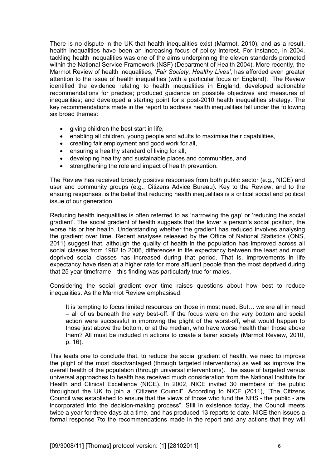There is no dispute in the UK that health inequalities exist (Marmot, 2010), and as a result, health inequalities have been an increasing focus of policy interest. For instance, in 2004, tackling health inequalities was one of the aims underpinning the eleven standards promoted within the National Service Framework (NSF) (Department of Health 2004). More recently, the Marmot Review of health inequalities, '*Fair Society, Healthy Lives'*, has afforded even greater attention to the issue of health inequalities (with a particular focus on England). The Review identified the evidence relating to health inequalities in England; developed actionable recommendations for practice; produced guidance on possible objectives and measures of inequalities; and developed a starting point for a post-2010 health inequalities strategy. The key recommendations made in the report to address health inequalities fall under the following six broad themes:

- giving children the best start in life,
- enabling all children, young people and adults to maximise their capabilities,
- creating fair employment and good work for all,
- ensuring a healthy standard of living for all,
- developing healthy and sustainable places and communities, and
- strengthening the role and impact of health prevention.

The Review has received broadly positive responses from both public sector (e.g., NICE) and user and community groups (e.g., Citizens Advice Bureau). Key to the Review, and to the ensuing responses, is the belief that reducing health inequalities is a critical social and political issue of our generation.

Reducing health inequalities is often referred to as 'narrowing the gap' or 'reducing the social gradient'. The social gradient of health suggests that the lower a person's social position, the worse his or her health. Understanding whether the gradient has reduced involves analysing the gradient over time. Recent analyses released by the Office of National Statistics (ONS, 2011) suggest that, although the quality of health in the population has improved across all social classes from 1982 to 2006, differences in life expectancy between the least and most deprived social classes has increased during that period. That is, improvements in life expectancy have risen at a higher rate for more affluent people than the most deprived during that 25 year timeframe—this finding was particularly true for males.

Considering the social gradient over time raises questions about how best to reduce inequalities. As the Marmot Review emphasised,

It is tempting to focus limited resources on those in most need. But... we are all in need – all of us beneath the very best-off. If the focus were on the very bottom and social action were successful in improving the plight of the worst-off, what would happen to those just above the bottom, or at the median, who have worse health than those above them? All must be included in actions to create a fairer society (Marmot Review, 2010, p. 16).

This leads one to conclude that, to reduce the social gradient of health, we need to improve the plight of the most disadvantaged (through targeted interventions) as well as improve the overall health of the population (through universal interventions). The issue of targeted versus universal approaches to health has received much consideration from the National Institute for Health and Clinical Excellence (NICE). In 2002, NICE invited 30 members of the public throughout the UK to join a "Citizens Council". According to NICE (2011), "The Citizens Council was established to ensure that the views of those who fund the NHS - the public - are incorporated into the decision-making process". Still in existence today, the Council meets twice a year for three days at a time, and has produced 13 reports to date. NICE then issues a formal response 7to the recommendations made in the report and any actions that they will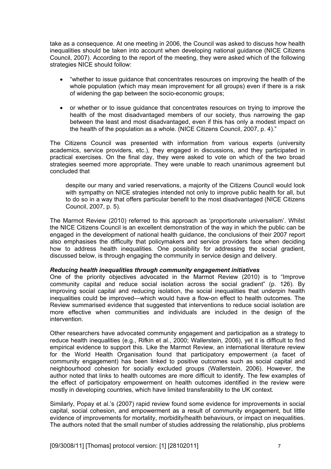take as a consequence. At one meeting in 2006, the Council was asked to discuss how health inequalities should be taken into account when developing national guidance (NICE Citizens Council, 2007). According to the report of the meeting, they were asked which of the following strategies NICE should follow:

- "whether to issue guidance that concentrates resources on improving the health of the whole population (which may mean improvement for all groups) even if there is a risk of widening the gap between the socio-economic groups;
- or whether or to issue guidance that concentrates resources on trying to improve the health of the most disadvantaged members of our society, thus narrowing the gap between the least and most disadvantaged, even if this has only a modest impact on the health of the population as a whole. (NICE Citizens Council, 2007, p. 4)."

The Citizens Council was presented with information from various experts (university academics, service providers, etc.), they engaged in discussions, and they participated in practical exercises. On the final day, they were asked to vote on which of the two broad strategies seemed more appropriate. They were unable to reach unanimous agreement but concluded that

despite our many and varied reservations, a majority of the Citizens Council would look with sympathy on NICE strategies intended not only to improve public health for all, but to do so in a way that offers particular benefit to the most disadvantaged (NICE Citizens Council, 2007, p. 5).

The Marmot Review (2010) referred to this approach as 'proportionate universalism'. Whilst the NICE Citizens Council is an excellent demonstration of the way in which the public can be engaged in the development of national health guidance, the conclusions of their 2007 report also emphasises the difficulty that policymakers and service providers face when deciding how to address health inequalities. One possibility for addressing the social gradient, discussed below, is through engaging the community in service design and delivery.

#### *Reducing health inequalities through community engagement initiatives*

One of the priority objectives advocated in the Marmot Review (2010) is to "Improve community capital and reduce social isolation across the social gradient" (p. 126). By improving social capital and reducing isolation, the social inequalities that underpin health inequalities could be improved—which would have a flow-on effect to health outcomes. The Review summarised evidence that suggested that interventions to reduce social isolation are more effective when communities and individuals are included in the design of the intervention.

Other researchers have advocated community engagement and participation as a strategy to reduce health inequalities (e.g., Rifkin et al., 2000; Wallerstein, 2006), yet it is difficult to find empirical evidence to support this. Like the Marmot Review, an international literature review for the World Health Organisation found that participatory empowerment (a facet of community engagement) has been linked to positive outcomes such as social capital and neighbourhood cohesion for socially excluded groups (Wallerstein, 2006). However, the author noted that links to health outcomes are more difficult to identify. The few examples of the effect of participatory empowerment on health outcomes identified in the review were mostly in developing countries, which have limited transferability to the UK context.

Similarly, Popay et al.'s (2007) rapid review found some evidence for improvements in social capital, social cohesion, and empowerment as a result of community engagement, but little evidence of improvements for mortality, morbidity/health behaviours, or impact on inequalities. The authors noted that the small number of studies addressing the relationship, plus problems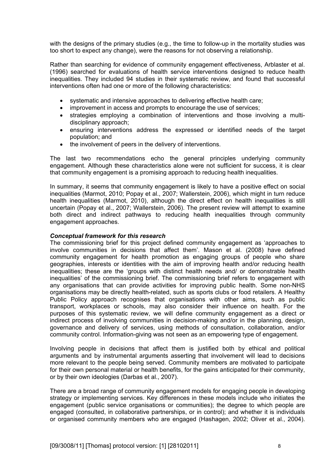with the designs of the primary studies (e.g., the time to follow-up in the mortality studies was too short to expect any change), were the reasons for not observing a relationship.

Rather than searching for evidence of community engagement effectiveness, Arblaster et al. (1996) searched for evaluations of health service interventions designed to reduce health inequalities. They included 94 studies in their systematic review, and found that successful interventions often had one or more of the following characteristics:

- systematic and intensive approaches to delivering effective health care;
- improvement in access and prompts to encourage the use of services;
- strategies employing a combination of interventions and those involving a multidisciplinary approach;
- ensuring interventions address the expressed or identified needs of the target population; and
- the involvement of peers in the delivery of interventions.

The last two recommendations echo the general principles underlying community engagement. Although these characteristics alone were not sufficient for success, it is clear that community engagement is a promising approach to reducing health inequalities.

In summary, it seems that community engagement is likely to have a positive effect on social inequalities (Marmot, 2010; Popay et al., 2007; Wallerstein, 2006), which might in turn reduce health inequalities (Marmot, 2010), although the direct effect on health inequalities is still uncertain (Popay et al., 2007; Wallerstein, 2006). The present review will attempt to examine both direct and indirect pathways to reducing health inequalities through community engagement approaches.

#### *Conceptual framework for this research*

The commissioning brief for this project defined community engagement as 'approaches to involve communities in decisions that affect them'. Mason et al. (2008) have defined community engagement for health promotion as engaging groups of people who share geographies, interests or identities with the aim of improving health and/or reducing health inequalities; these are the 'groups with distinct health needs and/ or demonstrable health inequalities' of the commissioning brief. The commissioning brief refers to engagement with any organisations that can provide activities for improving public health. Some non-NHS organisations may be directly health-related, such as sports clubs or food retailers. A Healthy Public Policy approach recognises that organisations with other aims, such as public transport, workplaces or schools, may also consider their influence on health. For the purposes of this systematic review, we will define community engagement as a direct or indirect process of involving communities in decision-making and/or in the planning, design, governance and delivery of services, using methods of consultation, collaboration, and/or community control. Information-giving was not seen as an empowering type of engagement.

Involving people in decisions that affect them is justified both by ethical and political arguments and by instrumental arguments asserting that involvement will lead to decisions more relevant to the people being served. Community members are motivated to participate for their own personal material or health benefits, for the gains anticipated for their community, or by their own ideologies (Darbas et al., 2007).

There are a broad range of community engagement models for engaging people in developing strategy or implementing services. Key differences in these models include who initiates the engagement (public service organisations or communities); the degree to which people are engaged (consulted, in collaborative partnerships, or in control); and whether it is individuals or organised community members who are engaged (Hashagen, 2002; Oliver et al., 2004).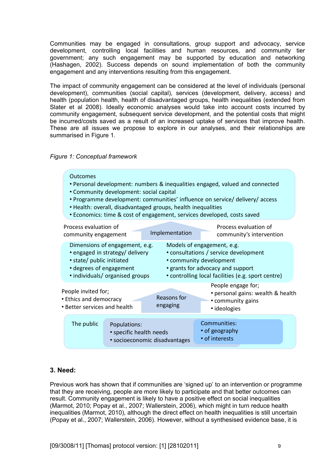Communities may be engaged in consultations, group support and advocacy, service development, controlling local facilities and human resources, and community tier government; any such engagement may be supported by education and networking (Hashagen, 2002). Success depends on sound implementation of both the community engagement and any interventions resulting from this engagement.

The impact of community engagement can be considered at the level of individuals (personal development), communities (social capital), services (development, delivery, access) and health (population health, health of disadvantaged groups, health inequalities (extended from Slater et al 2008). Ideally economic analyses would take into account costs incurred by community engagement, subsequent service development, and the potential costs that might be incurred/costs saved as a result of an increased uptake of services that improve health. These are all issues we propose to explore in our analyses, and their relationships are summarised in Figure 1.

## *Figure 1: Conceptual framework*

#### **Outcomes**

- Personal development: numbers & inequalities engaged, valued and connected
- Community development: social capital
- Programme development: communities' influence on service/ delivery/ access
- Health: overall, disadvantaged groups, health inequalities

• Economics: time & cost of engagement, services developed, costs saved

| Process evaluation of<br>community engagement                                                            |                                                                                                      | Implementation                                                                                                                                                                            | Process evaluation of<br>community's intervention                                            |
|----------------------------------------------------------------------------------------------------------|------------------------------------------------------------------------------------------------------|-------------------------------------------------------------------------------------------------------------------------------------------------------------------------------------------|----------------------------------------------------------------------------------------------|
| • state/ public initiated<br>• degrees of engagement                                                     | Dimensions of engagement, e.g.<br>• engaged in strategy/ delivery<br>· individuals/ organised groups | Models of engagement, e.g.<br>• consultations / service development<br>• community development<br>• grants for advocacy and support<br>• controlling local facilities (e.g. sport centre) |                                                                                              |
| People invited for;<br>Reasons for<br>• Ethics and democracy<br>engaging<br>• Better services and health |                                                                                                      |                                                                                                                                                                                           | People engage for;<br>• personal gains: wealth & health<br>• community gains<br>• ideologies |
| The public                                                                                               | Populations:<br>• specific health needs                                                              | · socioeconomic disadvantages                                                                                                                                                             | Communities:<br>• of geography<br>• of interests                                             |

## **3. Need:**

Previous work has shown that if communities are 'signed up' to an intervention or programme that they are receiving, people are more likely to participate and that better outcomes can result. Community engagement is likely to have a positive effect on social inequalities (Marmot, 2010; Popay et al., 2007; Wallerstein, 2006), which might in turn reduce health inequalities (Marmot, 2010), although the direct effect on health inequalities is still uncertain (Popay et al., 2007; Wallerstein, 2006). However, without a synthesised evidence base, it is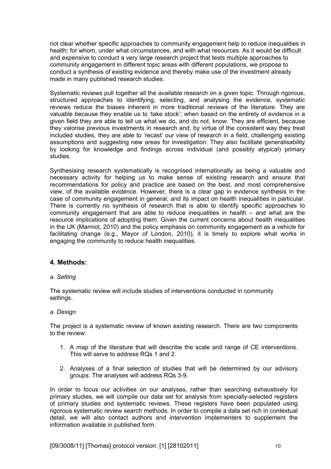not clear whether specific approaches to community engagement help to reduce inequalities in health; for whom, under what circumstances, and with what resources. As it would be difficult and expensive to conduct a very large research project that tests multiple approaches to community engagement in different topic areas with different populations, we propose to conduct a synthesis of existing evidence and thereby make use of the investment already made in many published research studies.

Systematic reviews pull together all the available research on a given topic. Through rigorous, structured approaches to identifying, selecting, and analysing the evidence, systematic reviews reduce the biases inherent in more traditional reviews of the literature. They are valuable because they enable us to 'take stock'; when based on the entirety of evidence in a given field they are able to tell us what we do, and do not, know. They are efficient, because they valorise previous investments in research and, by virtue of the consistent way they treat included studies, they are able to 'recast' our view of research in a field, challenging existing assumptions and suggesting new areas for investigation. They also facilitate generalisability by looking for knowledge and findings across individual (and possibly atypical) primary studies.

Synthesising research systematically is recognised internationally as being a valuable and necessary activity for helping us to make sense of existing research and ensure that recommendations for policy and practice are based on the best, and most comprehensive view, of the available evidence. However, there is a clear gap in evidence synthesis in the case of community engagement in general, and its impact on health inequalities in particular. There is currently no synthesis of research that is able to identify specific approaches to community engagement that are able to reduce inequalities in health – and what are the resource implications of adopting them. Given the current concerns about health inequalities in the UK (Marmot, 2010) and the policy emphasis on community engagement as a vehicle for facilitating change (e.g., Mayor of London, 2010), it is timely to explore what works in engaging the community to reduce health inequalities.

# **4. Methods:**

## *a. Setting*

The systematic review will include studies of interventions conducted in community settings.

## *a. Design*

The project is a systematic review of known existing research. There are two components to the review:

- 1. A map of the literature that will describe the scale and range of CE interventions. This will serve to address RQs 1 and 2.
- 2. Analyses of a final selection of studies that will be determined by our advisory groups. The analyses will address RQs 3-9.

In order to focus our activities on our analyses, rather than searching exhaustively for primary studies, we will compile our data set for analysis from specially-selected registers of primary studies and systematic reviews. These registers have been populated using rigorous systematic review search methods. In order to compile a data set rich in contextual detail, we will also contact authors and intervention implementers to supplement the information available in published form.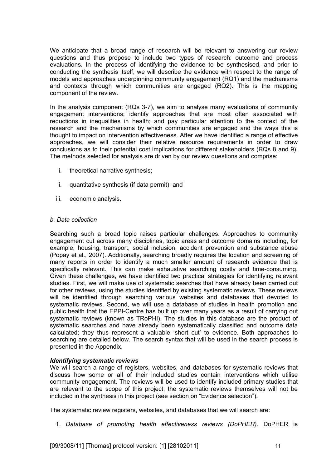We anticipate that a broad range of research will be relevant to answering our review questions and thus propose to include two types of research: outcome and process evaluations. In the process of identifying the evidence to be synthesised, and prior to conducting the synthesis itself, we will describe the evidence with respect to the range of models and approaches underpinning community engagement (RQ1) and the mechanisms and contexts through which communities are engaged (RQ2). This is the mapping component of the review.

In the analysis component (RQs 3-7), we aim to analyse many evaluations of community engagement interventions; identify approaches that are most often associated with reductions in inequalities in health; and pay particular attention to the context of the research and the mechanisms by which communities are engaged and the ways this is thought to impact on intervention effectiveness. After we have identified a range of effective approaches, we will consider their relative resource requirements in order to draw conclusions as to their potential cost implications for different stakeholders (RQs 8 and 9). The methods selected for analysis are driven by our review questions and comprise:

- i. theoretical narrative synthesis;
- ii. quantitative synthesis (if data permit); and
- iii. economic analysis.

#### *b. Data collection*

Searching such a broad topic raises particular challenges. Approaches to community engagement cut across many disciplines, topic areas and outcome domains including, for example, housing, transport, social inclusion, accident prevention and substance abuse (Popay et al., 2007). Additionally, searching broadly requires the location and screening of many reports in order to identify a much smaller amount of research evidence that is specifically relevant. This can make exhaustive searching costly and time-consuming. Given these challenges, we have identified two practical strategies for identifying relevant studies. First, we will make use of systematic searches that have already been carried out for other reviews, using the studies identified by existing systematic reviews. These reviews will be identified through searching various websites and databases that devoted to systematic reviews. Second, we will use a database of studies in health promotion and public health that the EPPI-Centre has built up over many years as a result of carrying out systematic reviews (known as TRoPHI). The studies in this database are the product of systematic searches and have already been systematically classified and outcome data calculated; they thus represent a valuable 'short cut' to evidence. Both approaches to searching are detailed below. The search syntax that will be used in the search process is presented in the Appendix.

## *Identifying systematic reviews*

We will search a range of registers, websites, and databases for systematic reviews that discuss how some or all of their included studies contain interventions which utilise community engagement. The reviews will be used to identify included primary studies that are relevant to the scope of this project; the systematic reviews themselves will not be included in the synthesis in this project (see section on "Evidence selection").

The systematic review registers, websites, and databases that we will search are:

1. *Database of promoting health effectiveness reviews (DoPHER)*. DoPHER is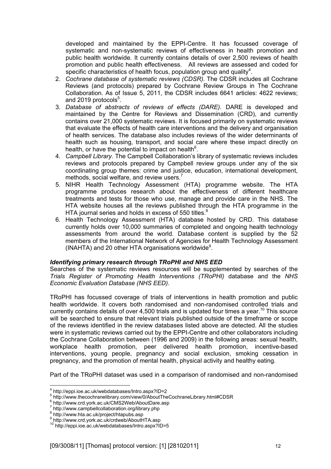developed and maintained by the EPPI-Centre. It has focussed coverage of systematic and non-systematic reviews of effectiveness in health promotion and public health worldwide. It currently contains details of over 2,500 reviews of health promotion and public health effectiveness. All reviews are assessed and coded for specific characteristics of health focus, population group and quality<sup>4</sup>.

- 2. *Cochrane database of systematic reviews (CDSR).* The CDSR includes all Cochrane Reviews (and protocols) prepared by Cochrane Review Groups in The Cochrane Collaboration. As of Issue 5, 2011, the CDSR includes 6641 articles: 4622 reviews; and 2019 protocols<sup>5</sup>.
- 3. *Database of abstracts of reviews of effects (DARE).* DARE is developed and maintained by the Centre for Reviews and Dissemination (CRD), and currently contains over 21,000 systematic reviews. It is focused primarily on systematic reviews that evaluate the effects of health care interventions and the delivery and organisation of health services. The database also includes reviews of the wider determinants of health such as housing, transport, and social care where these impact directly on health, or have the potential to impact on health $6$ .
- 4. *Campbell Library.* The Campbell Collaboration's library of systematic reviews includes reviews and protocols prepared by Campbell review groups under any of the six coordinating group themes: crime and justice, education, international development, methods, social welfare, and review users.<sup>7</sup>
- 5. NIHR Health Technology Assessment (HTA) programme website. The HTA programme produces research about the effectiveness of different healthcare treatments and tests for those who use, manage and provide care in the NHS. The HTA website houses all the reviews published through the HTA programme in the HTA journal series and holds in excess of 550 titles.<sup>8</sup>
- 6. Health Technology Assessment (HTA) database hosted by CRD. This database currently holds over 10,000 summaries of completed and ongoing health technology assessments from around the world. Database content is supplied by the 52 members of the International Network of Agencies for Health Technology Assessment (INAHTA) and 20 other HTA organisations worldwide<sup>9</sup>.

## *Identifying primary research through TRoPHI and NHS EED*

Searches of the systematic reviews resources will be supplemented by searches of the *Trials Register of Promoting Health Interventions (TRoPHI)* database and the *NHS Economic Evaluation Database (NHS EED)*.

TRoPHI has focussed coverage of trials of interventions in health promotion and public health worldwide. It covers both randomised and non-randomised controlled trials and currently contains details of over 4,500 trials and is updated four times a year.<sup>10</sup> This source will be searched to ensure that relevant trials published outside of the timeframe or scope of the reviews identified in the review databases listed above are detected. All the studies were in systematic reviews carried out by the EPPI-Centre and other collaborators including the Cochrane Collaboration between (1996 and 2009) in the following areas: sexual health, workplace health promotion, peer delivered health promotion, incentive-based interventions, young people, pregnancy and social exclusion, smoking cessation in pregnancy, and the promotion of mental health, physical activity and healthy eating.

Part of the TRoPHI dataset was used in a comparison of randomised and non-randomised

 $\overline{a}$ 

<sup>4</sup> http://eppi.ioe.ac.uk/webdatabases/Intro.aspx?ID=2

<sup>5</sup> http://www.thecochranelibrary.com/view/0/AboutTheCochraneLibrary.html#CDSR

<sup>6</sup> http://www.crd.york.ac.uk/CMS2Web/AboutDare.asp 7

http://www.campbellcollaboration.org/library.php

<sup>8</sup> http://www.hta.ac.uk/project/htapubs.asp

<sup>9</sup> http://www.crd.york.ac.uk/crdweb/AboutHTA.asp

<sup>10</sup> http://eppi.ioe.ac.uk/webdatabases/Intro.aspx?ID=5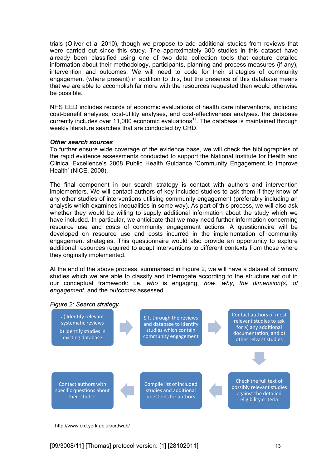trials (Oliver et al 2010), though we propose to add additional studies from reviews that were carried out since this study. The approximately 300 studies in this dataset have already been classified using one of two data collection tools that capture detailed information about their methodology, participants, planning and process measures (if any), intervention and outcomes. We will need to code for their strategies of community engagement (where present) in addition to this, but the presence of this database means that we are able to accomplish far more with the resources requested than would otherwise be possible.

NHS EED includes records of economic evaluations of health care interventions, including cost-benefit analyses, cost-utility analyses, and cost-effectiveness analyses. the database currently includes over 11,000 economic evaluations<sup>11</sup>. The database is maintained through weekly literature searches that are conducted by CRD.

#### *Other search sources*

To further ensure wide coverage of the evidence base, we will check the bibliographies of the rapid evidence assessments conducted to support the National Institute for Health and Clinical Excellence's 2008 Public Health Guidance 'Community Engagement to Improve Health' (NICE, 2008).

The final component in our search strategy is contact with authors and intervention implementers. We will contact authors of key included studies to ask them if they know of any other studies of interventions utilising community engagement (preferably including an analysis which examines inequalities in some way). As part of this process, we will also ask whether they would be willing to supply additional information about the study which we have included. In particular, we anticipate that we may need further information concerning resource use and costs of community engagement actions. A questionnaire will be developed on resource use and costs incurred in the implementation of community engagement strategies. This questionnaire would also provide an opportunity to explore additional resources required to adapt interventions to different contexts from those where they originally implemented.

At the end of the above process, summarised in Figure 2, we will have a dataset of primary studies which we are able to classify and interrogate according to the structure set out in our conceptual framework: i.e. *who* is engaging, *how*, *why*, *the dimension(s) of engagement*, and the *outcomes* assessed.



*Figure 2: Search strategy* 

 $\overline{a}$ 11 http://www.crd.york.ac.uk/crdweb/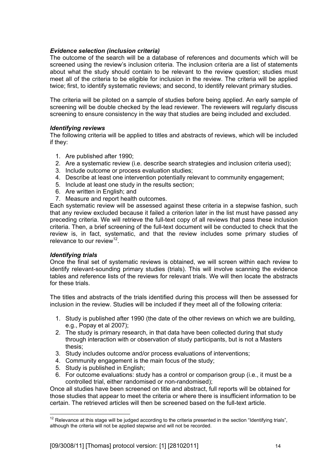## *Evidence selection (inclusion criteria)*

The outcome of the search will be a database of references and documents which will be screened using the review's inclusion criteria. The inclusion criteria are a list of statements about what the study should contain to be relevant to the review question; studies must meet all of the criteria to be eligible for inclusion in the review. The criteria will be applied twice; first, to identify systematic reviews; and second, to identify relevant primary studies.

The criteria will be piloted on a sample of studies before being applied. An early sample of screening will be double checked by the lead reviewer. The reviewers will regularly discuss screening to ensure consistency in the way that studies are being included and excluded.

## *Identifying reviews*

The following criteria will be applied to titles and abstracts of reviews, which will be included if they:

- 1. Are published after 1990;
- 2. Are a systematic review (i.e. describe search strategies and inclusion criteria used);
- 3. Include outcome or process evaluation studies;
- 4. Describe at least one intervention potentially relevant to community engagement;
- 5. Include at least one study in the results section;
- 6. Are written in English; and
- 7. Measure and report health outcomes.

Each systematic review will be assessed against these criteria in a stepwise fashion, such that any review excluded because it failed a criterion later in the list must have passed any preceding criteria. We will retrieve the full-text copy of all reviews that pass these inclusion criteria. Then, a brief screening of the full-text document will be conducted to check that the review is, in fact, systematic, and that the review includes some primary studies of relevance to our review<sup>12</sup>.

#### *Identifying trials*

Once the final set of systematic reviews is obtained, we will screen within each review to identify relevant-sounding primary studies (trials). This will involve scanning the evidence tables and reference lists of the reviews for relevant trials. We will then locate the abstracts for these trials.

The titles and abstracts of the trials identified during this process will then be assessed for inclusion in the review. Studies will be included if they meet all of the following criteria:

- 1. Study is published after 1990 (the date of the other reviews on which we are building, e.g., Popay et al 2007);
- 2. The study is primary research, in that data have been collected during that study through interaction with or observation of study participants, but is not a Masters thesis;
- 3. Study includes outcome and/or process evaluations of interventions;
- 4. Community engagement is the main focus of the study;
- 5. Study is published in English;
- 6. For outcome evaluations: study has a control or comparison group (i.e., it must be a controlled trial, either randomised or non-randomised);

Once all studies have been screened on title and abstract, full reports will be obtained for those studies that appear to meet the criteria or where there is insufficient information to be certain. The retrieved articles will then be screened based on the full-text article.

 $\overline{a}$  $12$  Relevance at this stage will be judged according to the criteria presented in the section "Identifying trials", although the criteria will not be applied stepwise and will not be recorded.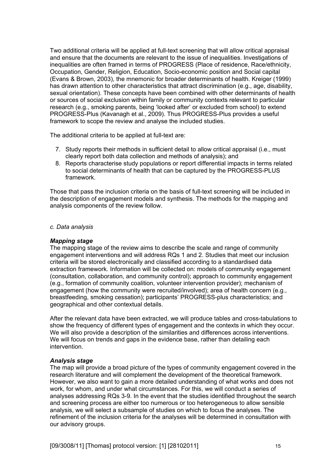Two additional criteria will be applied at full-text screening that will allow critical appraisal and ensure that the documents are relevant to the issue of inequalities. Investigations of inequalities are often framed in terms of PROGRESS (Place of residence, Race/ethnicity, Occupation, Gender, Religion, Education, Socio-economic position and Social capital (Evans & Brown, 2003), the mnemonic for broader determinants of health. Kreiger (1999) has drawn attention to other characteristics that attract discrimination (e.g., age, disability, sexual orientation). These concepts have been combined with other determinants of health or sources of social exclusion within family or community contexts relevant to particular research (e.g., smoking parents, being 'looked after' or excluded from school) to extend PROGRESS-Plus (Kavanagh et al., 2009). Thus PROGRESS-Plus provides a useful framework to scope the review and analyse the included studies.

The additional criteria to be applied at full-text are:

- 7. Study reports their methods in sufficient detail to allow critical appraisal (i.e., must clearly report both data collection and methods of analysis); and
- 8. Reports characterise study populations or report differential impacts in terms related to social determinants of health that can be captured by the PROGRESS-PLUS framework.

Those that pass the inclusion criteria on the basis of full-text screening will be included in the description of engagement models and synthesis. The methods for the mapping and analysis components of the review follow.

## *c. Data analysis*

## *Mapping stage*

The mapping stage of the review aims to describe the scale and range of community engagement interventions and will address RQs 1 and 2. Studies that meet our inclusion criteria will be stored electronically and classified according to a standardised data extraction framework. Information will be collected on: models of community engagement (consultation, collaboration, and community control); approach to community engagement (e.g., formation of community coalition, volunteer intervention provider); mechanism of engagement (how the community were recruited/involved); area of health concern (e.g., breastfeeding, smoking cessation); participants' PROGRESS-plus characteristics; and geographical and other contextual details.

After the relevant data have been extracted, we will produce tables and cross-tabulations to show the frequency of different types of engagement and the contexts in which they occur. We will also provide a description of the similarities and differences across interventions. We will focus on trends and gaps in the evidence base, rather than detailing each intervention.

#### *Analysis stage*

The map will provide a broad picture of the types of community engagement covered in the research literature and will complement the development of the theoretical framework. However, we also want to gain a more detailed understanding of what works and does not work, for whom, and under what circumstances. For this, we will conduct a series of analyses addressing RQs 3-9. In the event that the studies identified throughout the search and screening process are either too numerous or too heterogeneous to allow sensible analysis, we will select a subsample of studies on which to focus the analyses. The refinement of the inclusion criteria for the analyses will be determined in consultation with our advisory groups.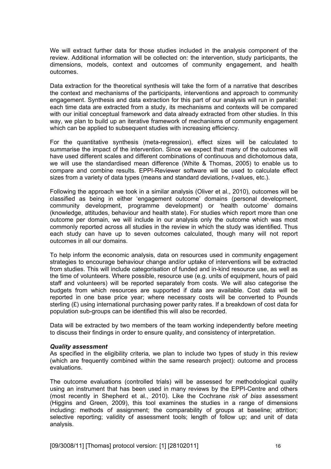We will extract further data for those studies included in the analysis component of the review. Additional information will be collected on: the intervention, study participants, the dimensions, models, context and outcomes of community engagement, and health outcomes.

Data extraction for the theoretical synthesis will take the form of a narrative that describes the context and mechanisms of the participants, interventions and approach to community engagement. Synthesis and data extraction for this part of our analysis will run in parallel: each time data are extracted from a study, its mechanisms and contexts will be compared with our initial conceptual framework and data already extracted from other studies. In this way, we plan to build up an iterative framework of mechanisms of community engagement which can be applied to subsequent studies with increasing efficiency.

For the quantitative synthesis (meta-regression), effect sizes will be calculated to summarise the impact of the intervention. Since we expect that many of the outcomes will have used different scales and different combinations of continuous and dichotomous data, we will use the standardised mean difference (White & Thomas, 2005) to enable us to compare and combine results. EPPI-Reviewer software will be used to calculate effect sizes from a variety of data types (means and standard deviations, *t*-values, etc.).

Following the approach we took in a similar analysis (Oliver et al., 2010), outcomes will be classified as being in either 'engagement outcome' domains (personal development, community development, programme development) or 'health outcome' domains (knowledge, attitudes, behaviour and health state). For studies which report more than one outcome per domain, we will include in our analysis only the outcome which was most commonly reported across all studies in the review in which the study was identified. Thus each study can have up to seven outcomes calculated, though many will not report outcomes in all our domains.

To help inform the economic analysis, data on resources used in community engagement strategies to encourage behaviour change and/or uptake of interventions will be extracted from studies. This will include categorisation of funded and in-kind resource use, as well as the time of volunteers. Where possible, resource use (e.g. units of equipment, hours of paid staff and volunteers) will be reported separately from costs. We will also categorise the budgets from which resources are supported if data are available. Cost data will be reported in one base price year; where necessary costs will be converted to Pounds sterling  $(E)$  using international purchasing power parity rates. If a breakdown of cost data for population sub-groups can be identified this will also be recorded.

Data will be extracted by two members of the team working independently before meeting to discuss their findings in order to ensure quality, and consistency of interpretation.

#### *Quality assessment*

As specified in the eligibility criteria, we plan to include two types of study in this review (which are frequently combined within the same research project): outcome and process evaluations.

The outcome evaluations (controlled trials) will be assessed for methodological quality using an instrument that has been used in many reviews by the EPPI-Centre and others (most recently in Shepherd et al., 2010). Like the Cochrane *risk of bias* assessment (Higgins and Green, 2009), this tool examines the studies in a range of dimensions including: methods of assignment; the comparability of groups at baseline; attrition; selective reporting; validity of assessment tools; length of follow up; and unit of data analysis.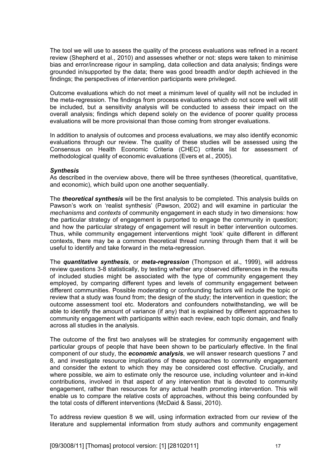The tool we will use to assess the quality of the process evaluations was refined in a recent review (Shepherd et al., 2010) and assesses whether or not: steps were taken to minimise bias and error/increase rigour in sampling, data collection and data analysis; findings were grounded in/supported by the data; there was good breadth and/or depth achieved in the findings; the perspectives of intervention participants were privileged.

Outcome evaluations which do not meet a minimum level of quality will not be included in the meta-regression. The findings from process evaluations which do not score well will still be included, but a sensitivity analysis will be conducted to assess their impact on the overall analysis; findings which depend solely on the evidence of poorer quality process evaluations will be more provisional than those coming from stronger evaluations.

In addition to analysis of outcomes and process evaluations, we may also identify economic evaluations through our review. The quality of these studies will be assessed using the Consensus on Health Economic Criteria (CHEC) criteria list for assessment of methodological quality of economic evaluations (Evers et al., 2005).

#### *Synthesis*

As described in the overview above, there will be three syntheses (theoretical, quantitative, and economic), which build upon one another sequentially.

The *theoretical synthesis* will be the first analysis to be completed. This analysis builds on Pawson's work on 'realist synthesis' (Pawson, 2002) and will examine in particular the *mechanisms* and *contexts* of community engagement in each study in two dimensions: how the particular strategy of engagement is purported to engage the community in question; and how the particular strategy of engagement will result in better intervention outcomes. Thus, while community engagement interventions might 'look' quite different in different contexts, there may be a common theoretical thread running through them that it will be useful to identify and take forward in the meta-regression.

The *quantitative synthesis*, or *meta-regression* (Thompson et al., 1999), will address review questions 3-8 statistically, by testing whether any observed differences in the results of included studies might be associated with the type of community engagement they employed, by comparing different types and levels of community engagement between different communities. Possible moderating or confounding factors will include the topic or review that a study was found from; the design of the study; the intervention in question; the outcome assessment tool etc. Moderators and confounders notwithstanding, we will be able to identify the amount of variance (if any) that is explained by different approaches to community engagement with participants within each review, each topic domain, and finally across all studies in the analysis.

The outcome of the first two analyses will be strategies for community engagement with particular groups of people that have been shown to be particularly effective. In the final component of our study, the *economic analysis*, we will answer research questions 7 and 8, and investigate resource implications of these approaches to community engagement and consider the extent to which they may be considered cost effective. Crucially, and where possible, we aim to estimate only the resource use, including volunteer and in-kind contributions, involved in that aspect of any intervention that is devoted to community engagement, rather than resources for any actual health promoting intervention. This will enable us to compare the relative costs of approaches, without this being confounded by the total costs of different interventions (McDaid & Sassi, 2010).

To address review question 8 we will, using information extracted from our review of the literature and supplemental information from study authors and community engagement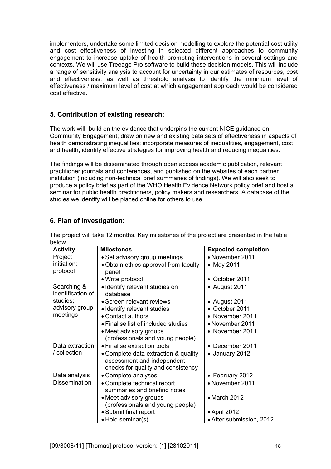implementers, undertake some limited decision modelling to explore the potential cost utility and cost effectiveness of investing in selected different approaches to community engagement to increase uptake of health promoting interventions in several settings and contexts. We will use Treeage Pro software to build these decision models. This will include a range of sensitivity analysis to account for uncertainty in our estimates of resources, cost and effectiveness, as well as threshold analysis to identify the minimum level of effectiveness / maximum level of cost at which engagement approach would be considered cost effective.

# **5. Contribution of existing research:**

The work will: build on the evidence that underpins the current NICE guidance on Community Engagement; draw on new and existing data sets of effectiveness in aspects of health demonstrating inequalities; incorporate measures of inequalities, engagement, cost and health; identify effective strategies for improving health and reducing inequalities.

The findings will be disseminated through open access academic publication, relevant practitioner journals and conferences, and published on the websites of each partner institution (including non-technical brief summaries of findings). We will also seek to produce a policy brief as part of the WHO Health Evidence Network policy brief and host a seminar for public health practitioners, policy makers and researchers. A database of the studies we identify will be placed online for others to use.

# **6. Plan of Investigation:**

| <b>Activity</b>      | <b>Milestones</b>                     | <b>Expected completion</b> |
|----------------------|---------------------------------------|----------------------------|
| Project              | • Set advisory group meetings         | • November 2011            |
| initiation;          | • Obtain ethics approval from faculty | • May 2011                 |
| protocol             | panel                                 |                            |
|                      | • Write protocol                      | • October 2011             |
| Searching &          | · Identify relevant studies on        | • August 2011              |
| identification of    | database                              |                            |
| studies;             | • Screen relevant reviews             | • August 2011              |
| advisory group       | • Identify relevant studies           | October 2011               |
| meetings             | • Contact authors                     | • November 2011            |
|                      | • Finalise list of included studies   | • November 2011            |
|                      | • Meet advisory groups                | • November 2011            |
|                      | (professionals and young people)      |                            |
| Data extraction      | • Finalise extraction tools           | • December 2011            |
| / collection         | • Complete data extraction & quality  | • January 2012             |
|                      | assessment and independent            |                            |
|                      | checks for quality and consistency    |                            |
| Data analysis        | • Complete analyses                   | • February 2012            |
| <b>Dissemination</b> | • Complete technical report,          | • November 2011            |
|                      | summaries and briefing notes          |                            |
|                      | • Meet advisory groups                | • March 2012               |
|                      | (professionals and young people)      |                            |
|                      | • Submit final report                 | $\bullet$ April 2012       |
|                      | · Hold seminar(s)                     | • After submission, 2012   |

The project will take 12 months. Key milestones of the project are presented in the table below.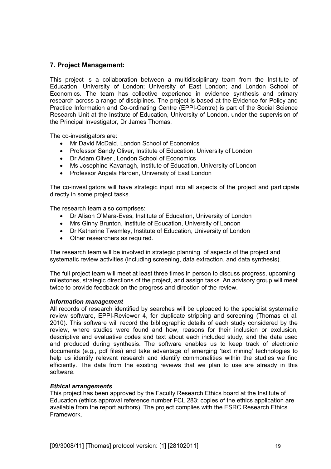# **7. Project Management:**

This project is a collaboration between a multidisciplinary team from the Institute of Education, University of London; University of East London; and London School of Economics. The team has collective experience in evidence synthesis and primary research across a range of disciplines. The project is based at the Evidence for Policy and Practice Information and Co-ordinating Centre (EPPI-Centre) is part of the Social Science Research Unit at the Institute of Education, University of London, under the supervision of the Principal Investigator, Dr James Thomas.

The co-investigators are:

- Mr David McDaid, London School of Economics
- Professor Sandy Oliver, Institute of Education, University of London
- Dr Adam Oliver, London School of Economics
- Ms Josephine Kavanagh, Institute of Education, University of London
- Professor Angela Harden, University of East London

The co-investigators will have strategic input into all aspects of the project and participate directly in some project tasks.

The research team also comprises:

- Dr Alison O'Mara-Eves, Institute of Education, University of London
- Mrs Ginny Brunton, Institute of Education, University of London
- Dr Katherine Twamley, Institute of Education, University of London
- Other researchers as required.

The research team will be involved in strategic planning of aspects of the project and systematic review activities (including screening, data extraction, and data synthesis).

The full project team will meet at least three times in person to discuss progress, upcoming milestones, strategic directions of the project, and assign tasks. An advisory group will meet twice to provide feedback on the progress and direction of the review.

#### *Information management*

All records of research identified by searches will be uploaded to the specialist systematic review software, EPPI-Reviewer 4, for duplicate stripping and screening (Thomas et al. 2010). This software will record the bibliographic details of each study considered by the review, where studies were found and how, reasons for their inclusion or exclusion, descriptive and evaluative codes and text about each included study, and the data used and produced during synthesis. The software enables us to keep track of electronic documents (e.g., pdf files) and take advantage of emerging 'text mining' technologies to help us identify relevant research and identify commonalities within the studies we find efficiently. The data from the existing reviews that we plan to use are already in this software.

#### *Ethical arrangements*

This project has been approved by the Faculty Research Ethics board at the Institute of Education (ethics approval reference number FCL 283; copies of the ethics application are available from the report authors). The project complies with the ESRC Research Ethics Framework.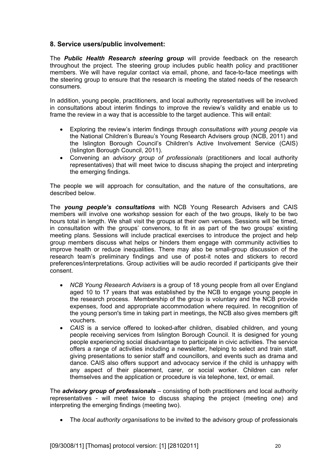# **8. Service users/public involvement:**

The *Public Health Research steering group* will provide feedback on the research throughout the project. The steering group includes public health policy and practitioner members. We will have regular contact via email, phone, and face-to-face meetings with the steering group to ensure that the research is meeting the stated needs of the research consumers.

In addition, young people, practitioners, and local authority representatives will be involved in consultations about interim findings to improve the review's validity and enable us to frame the review in a way that is accessible to the target audience. This will entail:

- Exploring the review's interim findings through *consultations with young people* via the National Children's Bureau's Young Research Advisers group (NCB, 2011) and the Islington Borough Council's Children's Active Involvement Service (CAIS) (Islington Borough Council, 2011).
- Convening an *advisory group of professionals* (practitioners and local authority representatives) that will meet twice to discuss shaping the project and interpreting the emerging findings.

The people we will approach for consultation, and the nature of the consultations, are described below.

The *young people's consultations* with NCB Young Research Advisers and CAIS members will involve one workshop session for each of the two groups, likely to be two hours total in length. We shall visit the groups at their own venues. Sessions will be timed, in consultation with the groups' convenors, to fit in as part of the two groups' existing meeting plans. Sessions will include practical exercises to introduce the project and help group members discuss what helps or hinders them engage with community activities to improve health or reduce inequalities. There may also be small-group discussion of the research team's preliminary findings and use of post-it notes and stickers to record preferences/interpretations. Group activities will be audio recorded if participants give their consent.

- *NCB Young Research Advisers* is a group of 18 young people from all over England aged 10 to 17 years that was established by the NCB to engage young people in the research process. Membership of the group is voluntary and the NCB provide expenses, food and appropriate accommodation where required. In recognition of the young person's time in taking part in meetings, the NCB also gives members gift vouchers.
- *CAIS* is a service offered to looked-after children, disabled children, and young people receiving services from Islington Borough Council. It is designed for young people experiencing social disadvantage to participate in civic activities. The service offers a range of activities including a newsletter, helping to select and train staff, giving presentations to senior staff and councillors, and events such as drama and dance. CAIS also offers support and advocacy service if the child is unhappy with any aspect of their placement, carer, or social worker. Children can refer themselves and the application or procedure is via telephone, text, or email.

The *advisory group of professionals* – consisting of both practitioners and local authority representatives - will meet twice to discuss shaping the project (meeting one) and interpreting the emerging findings (meeting two).

The *local authority organisations* to be invited to the advisory group of professionals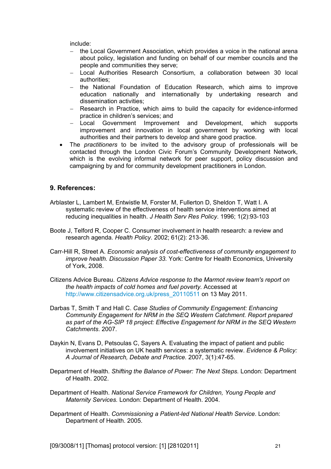include:

- the Local Government Association, which provides a voice in the national arena about policy, legislation and funding on behalf of our member councils and the people and communities they serve;
- Local Authorities Research Consortium, a collaboration between 30 local authorities;
- the National Foundation of Education Research, which aims to improve education nationally and internationally by undertaking research and dissemination activities;
- Research in Practice, which aims to build the capacity for evidence-informed practice in children's services; and
- Local Government Improvement and Development, which supports improvement and innovation in local government by working with local authorities and their partners to develop and share good practice.
- The *practitioners* to be invited to the advisory group of professionals will be contacted through the London Civic Forum's Community Development Network, which is the evolving informal network for peer support, policy discussion and campaigning by and for community development practitioners in London.

# **9. References:**

- Arblaster L, Lambert M, Entwistle M, Forster M, Fullerton D, Sheldon T, Watt I. A systematic review of the effectiveness of health service interventions aimed at reducing inequalities in health. *J Health Serv Res Policy*. 1996; 1(2):93-103
- Boote J, Telford R, Cooper C. Consumer involvement in health research: a review and research agenda. *Health Policy*. 2002; 61(2): 213-36.
- Carr-Hill R, Street A. *Economic analysis of cost-effectiveness of community engagement to improve health. Discussion Paper 33.* York: Centre for Health Economics, University of York, 2008.
- Citizens Advice Bureau. *Citizens Advice response to the Marmot review team's report on the health impacts of cold homes and fuel poverty.* Accessed at http://www.citizensadvice.org.uk/press\_20110511 on 13 May 2011.
- Darbas T, Smith T and Hall C. *Case Studies of Community Engagement: Enhancing Community Engagement for NRM in the SEQ Western Catchment. Report prepared*  as part of the AG-SIP 18 project: Effective Engagement for NRM in the SEQ Western *Catchments*. 2007.
- Daykin N, Evans D, Petsoulas C, Sayers A. Evaluating the impact of patient and public involvement initiatives on UK health services: a systematic review. *Evidence & Policy: A Journal of Research, Debate and Practice.* 2007, 3(1):47-65.
- Department of Health. *Shifting the Balance of Power: The Next Steps.* London: Department of Health. 2002.
- Department of Health. *National Service Framework for Children, Young People and Maternity Services.* London: Department of Health. 2004.
- Department of Health. *Commissioning a Patient-led National Health Service*. London: Department of Health. 2005.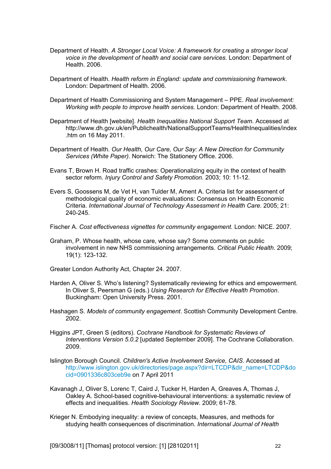- Department of Health. *A Stronger Local Voice: A framework for creating a stronger local voice in the development of health and social care services.* London: Department of Health. 2006.
- Department of Health. *Health reform in England: update and commissioning framework.* London: Department of Health. 2006.
- Department of Health Commissioning and System Management PPE. *Real involvement: Working with people to improve health services.* London: Department of Health. 2008.
- Department of Health [website]. *Health Inequalities National Support Team*. Accessed at http://www.dh.gov.uk/en/Publichealth/NationalSupportTeams/HealthInequalities/index .htm on 16 May 2011.
- Department of Health. *Our Health, Our Care, Our Say: A New Direction for Community Services (White Paper).* Norwich: The Stationery Office. 2006.
- Evans T, Brown H. Road traffic crashes: Operationalizing equity in the context of health sector reform. *Injury Control and Safety Promotion.* 2003; 10: 11-12.
- Evers S, Goossens M, de Vet H, van Tulder M, Ament A. Criteria list for assessment of methodological quality of economic evaluations: Consensus on Health Economic Criteria. *International Journal of Technology Assessment in Health Care.* 2005; 21: 240-245.
- Fischer A. *Cost effectiveness vignettes for community engagement.* London: NICE. 2007.
- Graham, P. Whose health, whose care, whose say? Some comments on public involvement in new NHS commissioning arrangements. *Critical Public Health*. 2009; 19(1): 123-132.
- Greater London Authority Act, Chapter 24. 2007.
- Harden A, Oliver S. Who's listening? Systematically reviewing for ethics and empowerment. In Oliver S, Peersman G (eds.) *Using Research for Effective Health Promotion*. Buckingham: Open University Press. 2001.
- Hashagen S. *Models of community engagement*. Scottish Community Development Centre. 2002.
- Higgins JPT, Green S (editors). *Cochrane Handbook for Systematic Reviews of Interventions Version 5.0.2* [updated September 2009]. The Cochrane Collaboration. 2009.
- Islington Borough Council. *Children's Active Involvement Service, CAIS*. Accessed at http://www.islington.gov.uk/directories/page.aspx?dir=LTCDP&dir\_name=LTCDP&do cid=0901336c803ceb9e on 7 April 2011
- Kavanagh J, Oliver S, Lorenc T, Caird J, Tucker H, Harden A, Greaves A, Thomas J, Oakley A. School-based cognitive-behavioural interventions: a systematic review of effects and inequalities. *Health Sociology Review.* 2009; 61-78.
- Krieger N. Embodying inequality: a review of concepts, Measures, and methods for studying health consequences of discrimination. *International Journal of Health*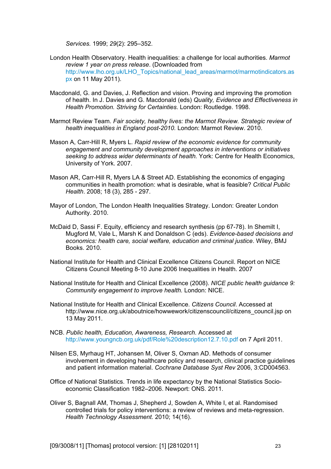*Services.* 1999; *29*(2): 295–352.

- London Health Observatory. Health inequalities: a challenge for local authorities. *Marmot review 1 year on press release*. (Downloaded from http://www.lho.org.uk/LHO\_Topics/national\_lead\_areas/marmot/marmotindicators.as px on 11 May 2011).
- Macdonald, G. and Davies, J. Reflection and vision. Proving and improving the promotion of health. In J. Davies and G. Macdonald (eds) *Quality, Evidence and Effectiveness in Health Promotion. Striving for Certainties*. London: Routledge. 1998.
- Marmot Review Team. *Fair society, healthy lives: the Marmot Review. Strategic review of health inequalities in England post-2010.* London: Marmot Review. 2010.
- Mason A, Carr-Hill R, Myers L. *Rapid review of the economic evidence for community engagement and community development approaches in interventions or initiatives seeking to address wider determinants of health.* York: Centre for Health Economics, University of York. 2007.
- Mason AR, Carr-Hill R, Myers LA & Street AD. Establishing the economics of engaging communities in health promotion: what is desirable, what is feasible? *Critical Public Health*. 2008; 18 (3), 285 - 297.
- Mayor of London, The London Health Inequalities Strategy. London: Greater London Authority. 2010.
- McDaid D, Sassi F. Equity, efficiency and research synthesis (pp 67-78). In Shemilt I, Mugford M, Vale L, Marsh K and Donaldson C (eds). *Evidence-based decisions and economics: health care, social welfare, education and criminal justice*. Wiley, BMJ Books. 2010.
- National Institute for Health and Clinical Excellence Citizens Council. Report on NICE Citizens Council Meeting 8-10 June 2006 Inequalities in Health. 2007
- National Institute for Health and Clinical Excellence (2008). *NICE public health guidance 9: Community engagement to improve health.* London: NICE.
- National Institute for Health and Clinical Excellence. *Citizens Council*. Accessed at http://www.nice.org.uk/aboutnice/howwework/citizenscouncil/citizens\_council.jsp on 13 May 2011.
- NCB. *Public health, Education, Awareness, Research.* Accessed at http://www.youngncb.org.uk/pdf/Role%20description12.7.10.pdf on 7 April 2011.
- Nilsen ES, Myrhaug HT, Johansen M, Oliver S, Oxman AD. Methods of consumer involvement in developing healthcare policy and research, clinical practice guidelines and patient information material. *Cochrane Database Syst Rev* 2006, 3:CD004563.
- Office of National Statistics. Trends in life expectancy by the National Statistics Socioeconomic Classification 1982–2006. Newport: ONS. 2011.
- Oliver S, Bagnall AM, Thomas J, Shepherd J, Sowden A, White I, et al. Randomised controlled trials for policy interventions: a review of reviews and meta-regression. *Health Technology Assessment.* 2010; 14(16).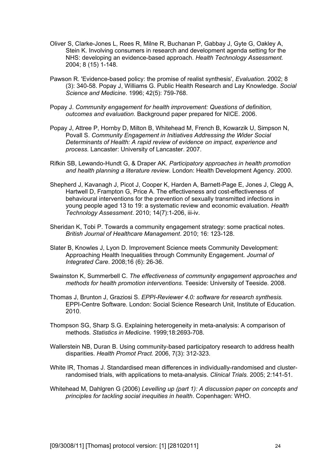- Oliver S, Clarke-Jones L, Rees R, Milne R, Buchanan P, Gabbay J, Gyte G, Oakley A, Stein K. Involving consumers in research and development agenda setting for the NHS: developing an evidence-based approach. *Health Technology Assessment.*  2004; 8 (15) 1-148.
- Pawson R. 'Evidence-based policy: the promise of realist synthesis', *Evaluation*. 2002; 8 (3): 340-58. Popay J, Williams G. Public Health Research and Lay Knowledge. *Social Science and Medicine*. 1996; 42(5): 759-768.
- Popay J. *Community engagement for health improvement: Questions of definition, outcomes and evaluation.* Background paper prepared for NICE. 2006.
- Popay J, Attree P, Hornby D, Milton B, Whitehead M, French B, Kowarzik U, Simpson N, Povall S. *Community Engagement in Initiatives Addressing the Wider Social Determinants of Health: A rapid review of evidence on impact, experience and process.* Lancaster: University of Lancaster. 2007.
- Rifkin SB, Lewando-Hundt G, & Draper AK. *Participatory approaches in health promotion and health planning a literature review.* London: Health Development Agency. 2000.
- Shepherd J, Kavanagh J, Picot J, Cooper K, Harden A, Barnett-Page E, Jones J, Clegg A, Hartwell D, Frampton G, Price A. The effectiveness and cost-effectiveness of behavioural interventions for the prevention of sexually transmitted infections in young people aged 13 to 19: a systematic review and economic evaluation. *Health Technology Assessment*. 2010; 14(7):1-206, iii-iv.
- Sheridan K, Tobi P. Towards a community engagement strategy: some practical notes. *British Journal of Healthcare Management*. 2010; 16: 123-128.
- Slater B, Knowles J, Lyon D. Improvement Science meets Community Development: Approaching Health Inequalities through Community Engagement. *Journal of Integrated Care*. 2008;16 (6): 26-36.
- Swainston K, Summerbell C. *The effectiveness of community engagement approaches and methods for health promotion interventions.* Teeside: University of Teeside. 2008.
- Thomas J, Brunton J, Graziosi S. *EPPI-Reviewer 4.0: software for research synthesis.*  EPPI-Centre Software. London: Social Science Research Unit, Institute of Education. 2010.
- Thompson SG, Sharp S.G. Explaining heterogeneity in meta-analysis: A comparison of methods. *Statistics in Medicine.* 1999;18:2693-708.
- Wallerstein NB, Duran B. Using community-based participatory research to address health disparities. *Health Promot Pract.* 2006, 7(3): 312-323.
- White IR, Thomas J. Standardised mean differences in individually-randomised and clusterrandomised trials, with applications to meta-analysis. *Clinical Trials.* 2005; 2:141-51.
- Whitehead M, Dahlgren G (2006) *Levelling up (part 1): A discussion paper on concepts and principles for tackling social inequities in health*. Copenhagen: WHO.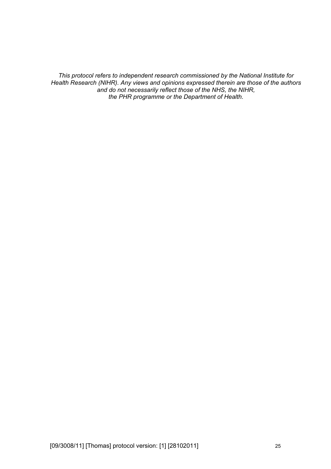*This protocol refers to independent research commissioned by the National Institute for Health Research (NIHR). Any views and opinions expressed therein are those of the authors and do not necessarily reflect those of the NHS, the NIHR, the PHR programme or the Department of Health.*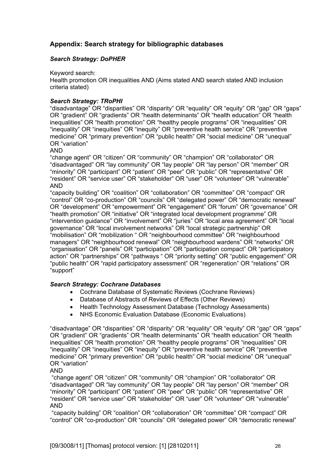# **Appendix: Search strategy for bibliographic databases**

# *Search Strategy: DoPHER*

## Keyword search:

Health promotion OR inequalities AND (Aims stated AND search stated AND inclusion criteria stated)

## *Search Strategy: TRoPHI*

"disadvantage" OR "disparities" OR "disparity" OR "equality" OR "equity" OR "gap" OR "gaps" OR "gradient" OR "gradients" OR "health determinants" OR "health education" OR "health inequalities" OR "health promotion" OR "healthy people programs" OR "inequalities" OR "inequality" OR "inequities" OR "inequity" OR "preventive health service" OR "preventive medicine" OR "primary prevention" OR "public health" OR "social medicine" OR "unequal" OR "variation"

## AND

"change agent" OR "citizen" OR "community" OR "champion" OR "collaborator" OR "disadvantaged" OR "lay community" OR "lay people" OR "lay person" OR "member" OR "minority" OR "participant" OR "patient" OR "peer" OR "public" OR "representative" OR "resident" OR "service user" OR "stakeholder" OR "user" OR "volunteer" OR "vulnerable" AND

"capacity building" OR "coalition" OR "collaboration" OR "committee" OR "compact" OR "control" OR "co-production" OR "councils" OR "delegated power" OR "democratic renewal" OR "development" OR "empowerment" OR "engagement" OR "forum" OR "governance" OR "health promotion" OR "initiative" OR "integrated local development programme" OR "intervention guidance" OR "involvement" OR "juries" OR "local area agreement" OR "local governance" OR "local involvement networks" OR "local strategic partnership" OR "mobilisation" OR "mobilization " OR "neighbourhood committee" OR "neighbourhood managers" OR "neighbourhood renewal" OR "neighbourhood wardens" OR "networks" OR "organisation" OR "panels" OR "participation" OR "participation compact" OR "participatory action" OR "partnerships" OR "pathways " OR "priority setting" OR "public engagement" OR "public health" OR "rapid participatory assessment" OR "regeneration" OR "relations" OR "support"

# *Search Strategy: Cochrane Databases*

- Cochrane Database of Systematic Reviews (Cochrane Reviews)
- Database of Abstracts of Reviews of Effects (Other Reviews)
- Health Technology Assessment Database (Technology Assessments)
- NHS Economic Evaluation Database (Economic Evaluations)

"disadvantage" OR "disparities" OR "disparity" OR "equality" OR "equity" OR "gap" OR "gaps" OR "gradient" OR "gradients" OR "health determinants" OR "health education" OR "health inequalities" OR "health promotion" OR "healthy people programs" OR "inequalities" OR "inequality" OR "inequities" OR "inequity" OR "preventive health service" OR "preventive medicine" OR "primary prevention" OR "public health" OR "social medicine" OR "unequal" OR "variation"

## AND

 "change agent" OR "citizen" OR "community" OR "champion" OR "collaborator" OR "disadvantaged" OR "lay community" OR "lay people" OR "lay person" OR "member" OR "minority" OR "participant" OR "patient" OR "peer" OR "public" OR "representative" OR "resident" OR "service user" OR "stakeholder" OR "user" OR "volunteer" OR "vulnerable" AND

 "capacity building" OR "coalition" OR "collaboration" OR "committee" OR "compact" OR "control" OR "co-production" OR "councils" OR "delegated power" OR "democratic renewal"